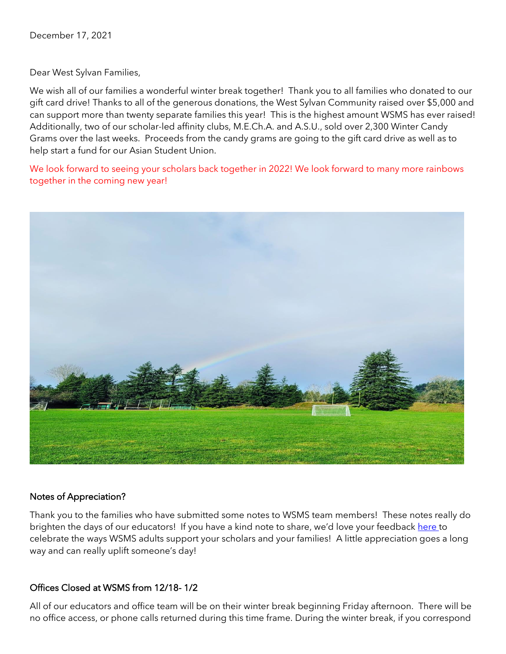Dear West Sylvan Families,

We wish all of our families a wonderful winter break together! Thank you to all families who donated to our gift card drive! Thanks to all of the generous donations, the West Sylvan Community raised over \$5,000 and can support more than twenty separate families this year! This is the highest amount WSMS has ever raised! Additionally, two of our scholar-led affinity clubs, M.E.Ch.A. and A.S.U., sold over 2,300 Winter Candy Grams over the last weeks. Proceeds from the candy grams are going to the gift card drive as well as to help start a fund for our Asian Student Union.

We look forward to seeing your scholars back together in 2022! We look forward to many more rainbows together in the coming new year!



### Notes of Appreciation?

Thank you to the families who have submitted some notes to WSMS team members! These notes really do brighten the days of our educators! If you have a kind note to share, we'd love your feedback [here t](https://forms.gle/3TsJKYDfcfbLhiKu7)o celebrate the ways WSMS adults support your scholars and your families! A little appreciation goes a long way and can really uplift someone's day!

### Offices Closed at WSMS from 12/18- 1/2

All of our educators and office team will be on their winter break beginning Friday afternoon. There will be no office access, or phone calls returned during this time frame. During the winter break, if you correspond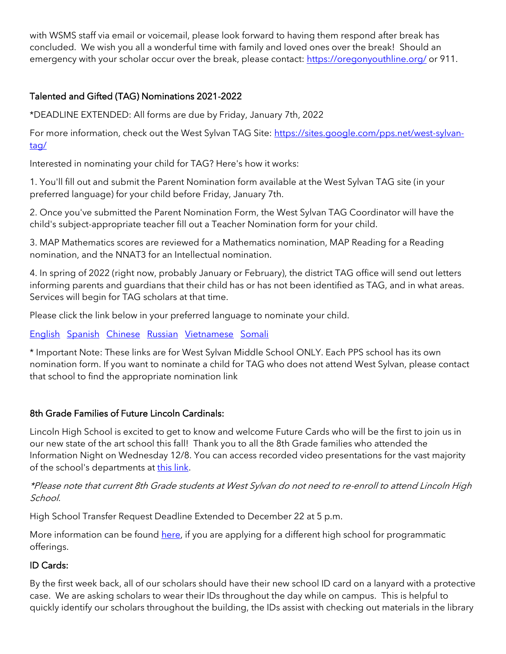with WSMS staff via email or voicemail, please look forward to having them respond after break has concluded. We wish you all a wonderful time with family and loved ones over the break! Should an emergency with your scholar occur over the break, please contact:<https://oregonyouthline.org/> or 911.

# Talented and Gifted (TAG) Nominations 2021-2022

\*DEADLINE EXTENDED: All forms are due by Friday, January 7th, 2022

For more information, check out the West Sylvan TAG Site: [https://sites.google.com/pps.net/west-sylvan](https://sites.google.com/pps.net/west-sylvan-tag/)[tag/](https://sites.google.com/pps.net/west-sylvan-tag/)

Interested in nominating your child for TAG? Here's how it works:

1. You'll fill out and submit the Parent Nomination form available at the West Sylvan TAG site (in your preferred language) for your child before Friday, January 7th.

2. Once you've submitted the Parent Nomination Form, the West Sylvan TAG Coordinator will have the child's subject-appropriate teacher fill out a Teacher Nomination form for your child.

3. MAP Mathematics scores are reviewed for a Mathematics nomination, MAP Reading for a Reading nomination, and the NNAT3 for an Intellectual nomination.

4. In spring of 2022 (right now, probably January or February), the district TAG office will send out letters informing parents and guardians that their child has or has not been identified as TAG, and in what areas. Services will begin for TAG scholars at that time.

Please click the link below in your preferred language to nominate your child.

[English](https://forms.gle/oKdyah1MXX1eN8WB6) [Spanish](https://forms.gle/b6VJZP69C2gqsgN3A) [Chinese](https://forms.gle/xd5drKJcwbqSYQXAA) [Russian](https://forms.gle/LmChwsdKZ1svWoB76) [Vietnamese](https://forms.gle/2sEfWP7EReDPZzRV7) [Somali](https://forms.gle/F4QvUYHYnHJEBtNMA)

\* Important Note: These links are for West Sylvan Middle School ONLY. Each PPS school has its own nomination form. If you want to nominate a child for TAG who does not attend West Sylvan, please contact that school to find the appropriate nomination link

# 8th Grade Families of Future Lincoln Cardinals:

Lincoln High School is excited to get to know and welcome Future Cards who will be the first to join us in our new state of the art school this fall! Thank you to all the 8th Grade families who attended the Information Night on Wednesday 12/8. You can access recorded video presentations for the vast majority of the school's departments at [this link.](https://docs.google.com/document/d/1akss3Eusq9MlyP-PvFwRyIQLiNIJLW5cydpmZ9ksGAs/edit?usp=sharing)

# \*Please note that current 8th Grade students at West Sylvan do not need to re-enroll to attend Lincoln High School.

High School Transfer Request Deadline Extended to December 22 at 5 p.m.

More information can be found [here,](https://drive.google.com/file/d/12mUe7prevDXL84NJOTDmwm2Rd2uobJID/view?usp=sharing) if you are applying for a different high school for programmatic offerings.

# ID Cards:

By the first week back, all of our scholars should have their new school ID card on a lanyard with a protective case. We are asking scholars to wear their IDs throughout the day while on campus. This is helpful to quickly identify our scholars throughout the building, the IDs assist with checking out materials in the library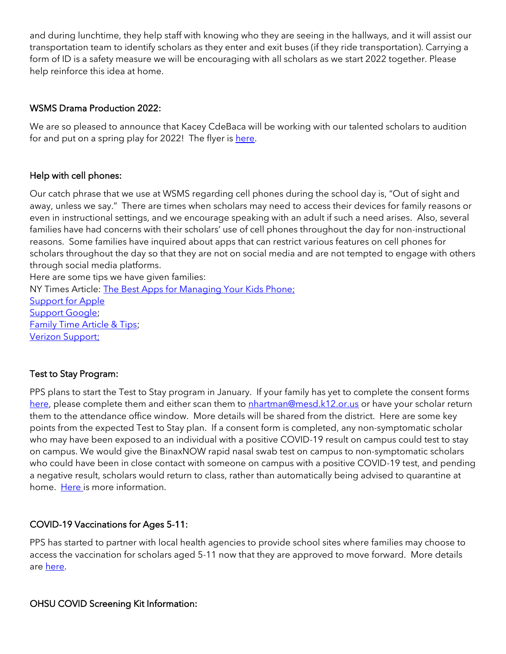and during lunchtime, they help staff with knowing who they are seeing in the hallways, and it will assist our transportation team to identify scholars as they enter and exit buses (if they ride transportation). Carrying a form of ID is a safety measure we will be encouraging with all scholars as we start 2022 together. Please help reinforce this idea at home.

### WSMS Drama Production 2022:

We are so pleased to announce that Kacey CdeBaca will be working with our talented scholars to audition for and put on a spring play for 2022! The flyer is [here.](https://drive.google.com/file/d/1IaZuyQpo8qyHRZaSCV1EA3nsbkW7OiVS/view?usp=sharing)

### Help with cell phones:

Our catch phrase that we use at WSMS regarding cell phones during the school day is, "Out of sight and away, unless we say." There are times when scholars may need to access their devices for family reasons or even in instructional settings, and we encourage speaking with an adult if such a need arises. Also, several families have had concerns with their scholars' use of cell phones throughout the day for non-instructional reasons. Some families have inquired about apps that can restrict various features on cell phones for scholars throughout the day so that they are not on social media and are not tempted to engage with others through social media platforms.

Here are some tips we have given families: NY Times Article: [The Best Apps for Managing Your Kids Phone;](https://www.nytimes.com/wirecutter/reviews/best-apps-to-manage-your-kids-phone/) [Support for Apple](https://support.apple.com/guide/iphone/set-up-parental-controls-iph00ba7d632/ios) [Support Google;](https://support.google.com/families/answer/7103340?hl=en) [Family Time Article & Tips;](https://familytime.io/) [Verizon Support;](https://www.verizon.com/support/verizon-smart-family-restrictions-video/)

# Test to Stay Program:

PPS plans to start the Test to Stay program in January. If your family has yet to complete the consent forms [here,](https://sharedsystems.dhsoha.state.or.us/DHSForms/Served/le3560e.pdf) please complete them and either scan them to [nhartman@mesd.k12.or.us](mailto:nhartman@mesd.k12.or.us) or have your scholar return them to the attendance office window. More details will be shared from the district. Here are some key points from the expected Test to Stay plan. If a consent form is completed, any non-symptomatic scholar who may have been exposed to an individual with a positive COVID-19 result on campus could test to stay on campus. We would give the BinaxNOW rapid nasal swab test on campus to non-symptomatic scholars who could have been in close contact with someone on campus with a positive COVID-19 test, and pending a negative result, scholars would return to class, rather than automatically being advised to quarantine at home. [Here i](https://docs.google.com/document/d/1RiifxD8ZyotgtTy4q0zU6VYEbklFNPNaDJapztiE6EI/edit?usp=sharing)s more information.

### COVID-19 Vaccinations for Ages 5-11:

PPS has started to partner with local health agencies to provide school sites where families may choose to access the vaccination for scholars aged 5-11 now that they are approved to move forward. More details are [here.](https://www.pps.net/site/default.aspx?PageType=3&DomainID=4&ModuleInstanceID=1492&PageModuleInstanceID=1594&ViewID=ad4d6d9d-7046-48e7-a548-a6a23a68d076&RenderLoc=0&FlexDataID=173571&PageID=1)

### OHSU COVID Screening Kit Information: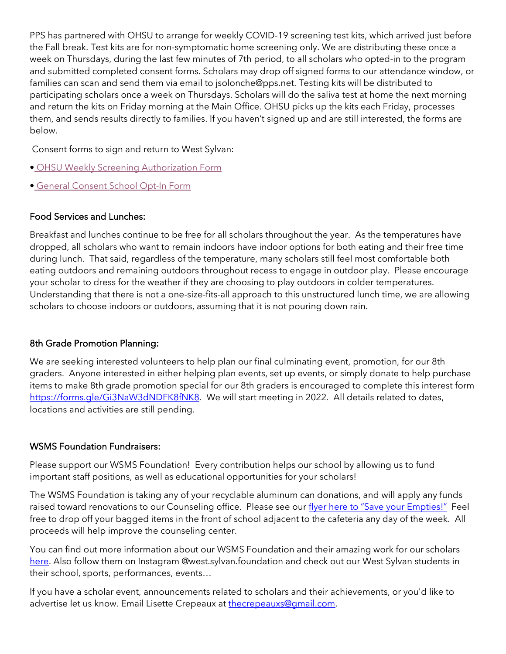PPS has partnered with OHSU to arrange for weekly COVID-19 screening test kits, which arrived just before the Fall break. Test kits are for non-symptomatic home screening only. We are distributing these once a week on Thursdays, during the last few minutes of 7th period, to all scholars who opted-in to the program and submitted completed consent forms. Scholars may drop off signed forms to our attendance window, or families can scan and send them via email to jsolonche@pps.net. Testing kits will be distributed to participating scholars once a week on Thursdays. Scholars will do the saliva test at home the next morning and return the kits on Friday morning at the Main Office. OHSU picks up the kits each Friday, processes them, and sends results directly to families. If you haven't signed up and are still interested, the forms are below.

Consent forms to sign and return to West Sylvan:

- [OHSU Weekly Screening Authorization Form](https://drive.google.com/file/d/1WKfLwknOXIYGfjiVTURKB7wvlQW8DAhR/view?usp=sharing)
- [General Consent School Opt-In Form](https://drive.google.com/file/d/1JELJW3M6_gp013Dp_Z7QDpvKmsqC5G-S/view?usp=sharing)

### Food Services and Lunches:

Breakfast and lunches continue to be free for all scholars throughout the year. As the temperatures have dropped, all scholars who want to remain indoors have indoor options for both eating and their free time during lunch. That said, regardless of the temperature, many scholars still feel most comfortable both eating outdoors and remaining outdoors throughout recess to engage in outdoor play. Please encourage your scholar to dress for the weather if they are choosing to play outdoors in colder temperatures. Understanding that there is not a one-size-fits-all approach to this unstructured lunch time, we are allowing scholars to choose indoors or outdoors, assuming that it is not pouring down rain.

# 8th Grade Promotion Planning:

We are seeking interested volunteers to help plan our final culminating event, promotion, for our 8th graders. Anyone interested in either helping plan events, set up events, or simply donate to help purchase items to make 8th grade promotion special for our 8th graders is encouraged to complete this interest form [https://forms.gle/Gi3NaW3dNDFK8fNK8.](https://forms.gle/Gi3NaW3dNDFK8fNK8) We will start meeting in 2022. All details related to dates, locations and activities are still pending.

### WSMS Foundation Fundraisers:

Please support our WSMS Foundation! Every contribution helps our school by allowing us to fund important staff positions, as well as educational opportunities for your scholars!

The WSMS Foundation is taking any of your recyclable aluminum can donations, and will apply any funds raised toward renovations to our Counseling office. Please see our [flyer here to "Save your Empties!"](https://drive.google.com/file/d/1QXOTJmEblkxG_rK04tEK5aEuwcpa-NT4/view?usp=sharing) Feel free to drop off your bagged items in the front of school adjacent to the cafeteria any day of the week. All proceeds will help improve the counseling center.

You can find out more information about our WSMS Foundation and their amazing work for our scholars [here.](https://www.westsylvanfoundation.com/) Also follow them on Instagram @west.sylvan.foundation and check out our West Sylvan students in their school, sports, performances, events…

If you have a scholar event, announcements related to scholars and their achievements, or you'd like to advertise let us know. Email Lisette Crepeaux at [thecrepeauxs@gmail.com.](mailto:thecrepeauxs@gmail.com)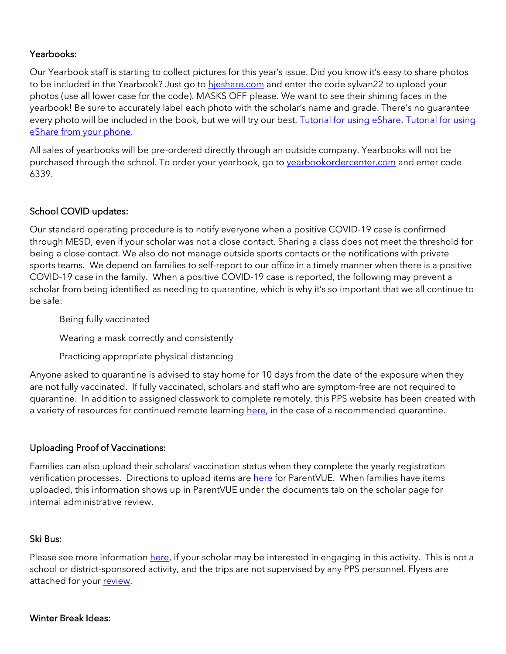## Yearbooks:

Our Yearbook staff is starting to collect pictures for this year's issue. Did you know it's easy to share photos to be included in the Yearbook? Just go to hieshare.com and enter the code sylvan22 to upload your photos (use all lower case for the code). MASKS OFF please. We want to see their shining faces in the yearbook! Be sure to accurately label each photo with the scholar's name and grade. There's no guarantee every photo will be included in the book, but we will try our best. [Tutorial for using eShare.](https://herffjones.wistia.com/medias/h1e7m2ythz) Tutorial for using [eShare from your phone.](https://herffjones.wistia.com/medias/62ap3qbbp3)

All sales of yearbooks will be pre-ordered directly through an outside company. Yearbooks will not be purchased through the school. To order your yearbook, go to vearbookordercenter.com and enter code 6339.

# School COVID updates:

Our standard operating procedure is to notify everyone when a positive COVID-19 case is confirmed through MESD, even if your scholar was not a close contact. Sharing a class does not meet the threshold for being a close contact. We also do not manage outside sports contacts or the notifications with private sports teams. We depend on families to self-report to our office in a timely manner when there is a positive COVID-19 case in the family. When a positive COVID-19 case is reported, the following may prevent a scholar from being identified as needing to quarantine, which is why it's so important that we all continue to be safe:

Being fully vaccinated

Wearing a mask correctly and consistently

Practicing appropriate physical distancing

Anyone asked to quarantine is advised to stay home for 10 days from the date of the exposure when they are not fully vaccinated. If fully vaccinated, scholars and staff who are symptom-free are not required to quarantine. In addition to assigned classwork to complete remotely, this PPS website has been created with a variety of resources for continued remote learning [here,](https://sites.google.com/pps.net/ppsquarantinelessons/home?authuser=0) in the case of a recommended quarantine.

### Uploading Proof of Vaccinations:

Families can also upload their scholars' vaccination status when they complete the yearly registration verification processes. Directions to upload items ar[e here](https://docs.google.com/document/d/1AxHhVVEjAqJxV1Vuh9PnfwkZHcp-Tde_x6iFOOEy58Y/edit) for ParentVUE. When families have items uploaded, this information shows up in ParentVUE under the documents tab on the scholar page for internal administrative review.

### Ski Bus:

Please see more information [here,](https://drive.google.com/file/d/1ix1Sh53HNhRhw4TY-eUKEotfC4dzRsNX/view?usp=sharing) if your scholar may be interested in engaging in this activity. This is not a school or district-sponsored activity, and the trips are not supervised by any PPS personnel. Flyers are attached for your [review.](https://drive.google.com/file/d/1FRriRObLFlZVb-TdYi3_QNwW4D_vQv79/view?usp=sharing)